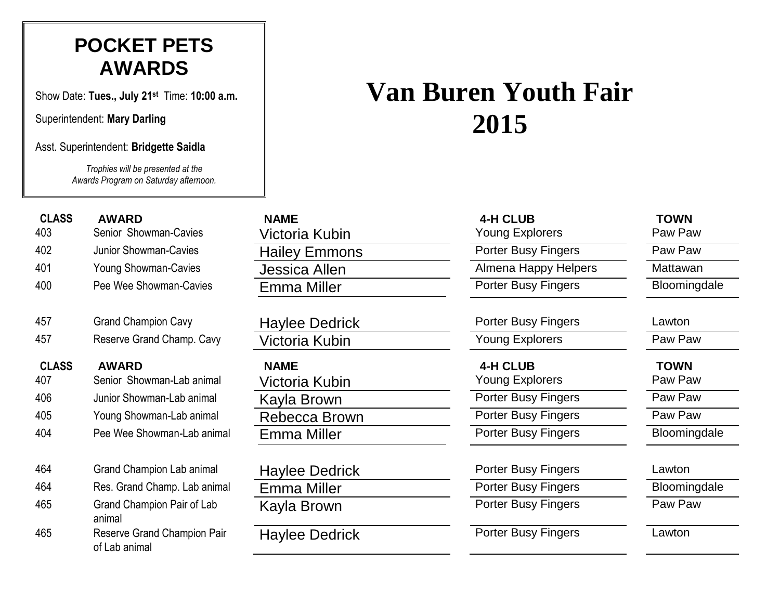### **POCKET PETS AWARDS**

Show Date: **Tues., July 21st** Time: **10:00 a.m.**

Superintendent: **Mary Darling**

Asst. Superintendent: **Bridgette Saidla**

*Trophies will be presented at the Awards Program on Saturday afternoon.*

# 457 Grand Champion Cavy 464 Grand Champion Lab animal 465 Grand Champion Pair of Lab animal 465 Reserve Grand Champion Pair of Lab animal

| <b>NAME</b>           |
|-----------------------|
| Victoria Kubin        |
| <b>Hailey Emmons</b>  |
| <b>Jessica Allen</b>  |
| <b>Emma Miller</b>    |
|                       |
| <b>Haylee Dedrick</b> |
| Victoria Kubin        |
| <b>NAME</b>           |
| Victoria Kubin        |
| Kayla Brown           |
| Rebecca Brown         |
| Emma Miller           |
|                       |
| <b>Haylee Dedrick</b> |
| <b>Emma Miller</b>    |
| Kayla Brown           |
| Havlee Dedrick        |
|                       |

## **Van Buren Youth Fair 2015**

| <b>CLASS</b> | <b>AWARD</b>                 | <b>NAME</b>           | 4-H CLUB                   | <b>TOWN</b>  |
|--------------|------------------------------|-----------------------|----------------------------|--------------|
| 403          | Senior Showman-Cavies        | Victoria Kubin        | Young Explorers            | Paw Paw      |
| 402          | Junior Showman-Cavies        | <b>Hailey Emmons</b>  | <b>Porter Busy Fingers</b> | Paw Paw      |
| 401          | <b>Young Showman-Cavies</b>  | <b>Jessica Allen</b>  | Almena Happy Helpers       | Mattawan     |
| 400          | Pee Wee Showman-Cavies       | <b>Emma Miller</b>    | <b>Porter Busy Fingers</b> | Bloomingdale |
| 457          | <b>Grand Champion Cavy</b>   | <b>Haylee Dedrick</b> | <b>Porter Busy Fingers</b> | Lawton       |
| 457          | Reserve Grand Champ. Cavy    | Victoria Kubin        | <b>Young Explorers</b>     | Paw Paw      |
| <b>CLASS</b> | <b>AWARD</b>                 | <b>NAME</b>           | 4-H CLUB                   | <b>TOWN</b>  |
| 407          | Senior Showman-Lab animal    | Victoria Kubin        | Young Explorers            | Paw Paw      |
| 406          | Junior Showman-Lab animal    | Kayla Brown           | <b>Porter Busy Fingers</b> | Paw Paw      |
| 405          | Young Showman-Lab animal     | Rebecca Brown         | <b>Porter Busy Fingers</b> | Paw Paw      |
| 404          | Pee Wee Showman-Lab animal   | <b>Emma Miller</b>    | <b>Porter Busy Fingers</b> | Bloomingdale |
| 464          | Grand Champion Lab animal    | <b>Haylee Dedrick</b> | <b>Porter Busy Fingers</b> | Lawton       |
| 464          | Res. Grand Champ. Lab animal | <b>Emma Miller</b>    | <b>Porter Busy Fingers</b> | Bloomingdale |
| 465          | Grand Champion Pair of Lab   | Kayla Brown           | <b>Porter Busy Fingers</b> | Paw Paw      |

Porter Busy Fingers Lawton

- 
-